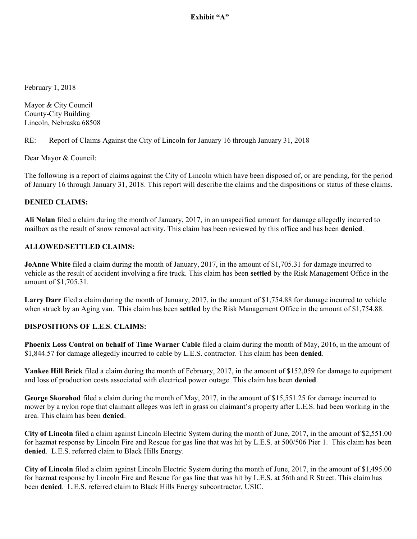Exhibit "A"

February 1, 2018

Mayor & City Council County-City Building Lincoln, Nebraska 68508

### RE: Report of Claims Against the City of Lincoln for January 16 through January 31, 2018

Dear Mayor & Council:

The following is a report of claims against the City of Lincoln which have been disposed of, or are pending, for the period of January 16 through January 31, 2018. This report will describe the claims and the dispositions or status of these claims.

#### **DENIED CLAIMS:**

**Ali Nolan** filed a claim during the month of January, 2017, in an unspecified amount for damage allegedly incurred to mailbox as the result of snow removal activity. This claim has been reviewed by this office and has been **denied**.

#### **ALLOWED/SETTLED CLAIMS:**

**JoAnne White** filed a claim during the month of January, 2017, in the amount of \$1,705.31 for damage incurred to vehicle as the result of accident involving a fire truck. This claim has been **settled** by the Risk Management Office in the amount of \$1,705.31.

**Larry Darr** filed a claim during the month of January, 2017, in the amount of \$1,754.88 for damage incurred to vehicle when struck by an Aging van. This claim has been **settled** by the Risk Management Office in the amount of \$1,754.88.

#### **DISPOSITIONS OF L.E.S. CLAIMS:**

**Phoenix Loss Control on behalf of Time Warner Cable** filed a claim during the month of May, 2016, in the amount of \$1,844.57 for damage allegedly incurred to cable by L.E.S. contractor. This claim has been **denied**.

**Yankee Hill Brick** filed a claim during the month of February, 2017, in the amount of \$152,059 for damage to equipment and loss of production costs associated with electrical power outage. This claim has been **denied**.

**George Skorohod** filed a claim during the month of May, 2017, in the amount of \$15,551.25 for damage incurred to mower by a nylon rope that claimant alleges was left in grass on claimant's property after L.E.S. had been working in the area. This claim has been **denied**.

**City of Lincoln** filed a claim against Lincoln Electric System during the month of June, 2017, in the amount of \$2,551.00 for hazmat response by Lincoln Fire and Rescue for gas line that was hit by L.E.S. at 500/506 Pier 1. This claim has been **denied**. L.E.S. referred claim to Black Hills Energy.

**City of Lincoln** filed a claim against Lincoln Electric System during the month of June, 2017, in the amount of \$1,495.00 for hazmat response by Lincoln Fire and Rescue for gas line that was hit by L.E.S. at 56th and R Street. This claim has been **denied**. L.E.S. referred claim to Black Hills Energy subcontractor, USIC.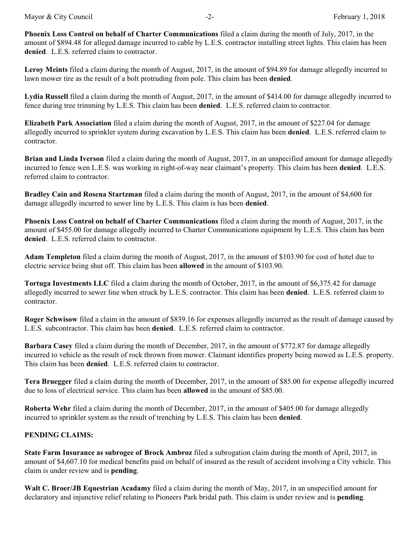**Phoenix Loss Control on behalf of Charter Communications** filed a claim during the month of July, 2017, in the amount of \$894.48 for alleged damage incurred to cable by L.E.S. contractor installing street lights. This claim has been **denied**. L.E.S. referred claim to contractor.

**Leroy Meints** filed a claim during the month of August, 2017, in the amount of \$94.89 for damage allegedly incurred to lawn mower tire as the result of a bolt protruding from pole. This claim has been **denied**.

**Lydia Russell** filed a claim during the month of August, 2017, in the amount of \$414.00 for damage allegedly incurred to fence during tree trimming by L.E.S. This claim has been **denied**. L.E.S. referred claim to contractor.

**Elizabeth Park Association** filed a claim during the month of August, 2017, in the amount of \$227.04 for damage allegedly incurred to sprinkler system during excavation by L.E.S. This claim has been **denied**. L.E.S. referred claim to contractor.

**Brian and Linda Iverson** filed a claim during the month of August, 2017, in an unspecified amount for damage allegedly incurred to fence wen L.E.S. was working in right-of-way near claimant's property. This claim has been **denied**. L.E.S. referred claim to contractor.

**Bradley Cain and Rosena Startzman** filed a claim during the month of August, 2017, in the amount of \$4,600 for damage allegedly incurred to sewer line by L.E.S. This claim is has been **denied**.

**Phoenix Loss Control on behalf of Charter Communications** filed a claim during the month of August, 2017, in the amount of \$455.00 for damage allegedly incurred to Charter Communications equipment by L.E.S. This claim has been **denied**. L.E.S. referred claim to contractor.

**Adam Templeton** filed a claim during the month of August, 2017, in the amount of \$103.90 for cost of hotel due to electric service being shut off. This claim has been **allowed** in the amount of \$103.90.

**Tortuga Investments LLC** filed a claim during the month of October, 2017, in the amount of \$6,375.42 for damage allegedly incurred to sewer line when struck by L.E.S. contractor. This claim has been **denied**. L.E.S. referred claim to contractor.

**Roger Schwisow** filed a claim in the amount of \$839.16 for expenses allegedly incurred as the result of damage caused by L.E.S. subcontractor. This claim has been **denied**. L.E.S. referred claim to contractor.

**Barbara Casey** filed a claim during the month of December, 2017, in the amount of \$772.87 for damage allegedly incurred to vehicle as the result of rock thrown from mower. Claimant identifies property being mowed as L.E.S. property. This claim has been **denied**. L.E.S. referred claim to contractor.

**Tera Bruegger** filed a claim during the month of December, 2017, in the amount of \$85.00 for expense allegedly incurred due to loss of electrical service. This claim has been **allowed** in the amount of \$85.00.

**Roberta Wehr** filed a claim during the month of December, 2017, in the amount of \$405.00 for damage allegedly incurred to sprinkler system as the result of trenching by L.E.S. This claim has been **denied**.

## **PENDING CLAIMS:**

**State Farm Insurance as subrogee of Brock Ambroz** filed a subrogation claim during the month of April, 2017, in amount of \$4,607.10 for medical benefits paid on behalf of insured as the result of accident involving a City vehicle. This claim is under review and is **pending**.

**Walt C. Broer/JB Equestrian Acadamy** filed a claim during the month of May, 2017, in an unspecified amount for declaratory and injunctive relief relating to Pioneers Park bridal path. This claim is under review and is **pending**.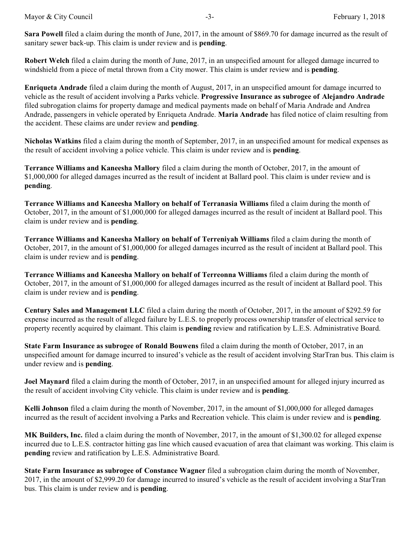**Sara Powell** filed a claim during the month of June, 2017, in the amount of \$869.70 for damage incurred as the result of sanitary sewer back-up. This claim is under review and is **pending**.

**Robert Welch** filed a claim during the month of June, 2017, in an unspecified amount for alleged damage incurred to windshield from a piece of metal thrown from a City mower. This claim is under review and is **pending**.

**Enriqueta Andrade** filed a claim during the month of August, 2017, in an unspecified amount for damage incurred to vehicle as the result of accident involving a Parks vehicle. **Progressive Insurance as subrogee of Alejandro Andrade** filed subrogation claims for property damage and medical payments made on behalf of Maria Andrade and Andrea Andrade, passengers in vehicle operated by Enriqueta Andrade. **Maria Andrade** has filed notice of claim resulting from the accident. These claims are under review and **pending**.

**Nicholas Watkins** filed a claim during the month of September, 2017, in an unspecified amount for medical expenses as the result of accident involving a police vehicle. This claim is under review and is **pending**.

**Terrance Williams and Kaneesha Mallory** filed a claim during the month of October, 2017, in the amount of \$1,000,000 for alleged damages incurred as the result of incident at Ballard pool. This claim is under review and is **pending**.

**Terrance Williams and Kaneesha Mallory on behalf of Terranasia Williams** filed a claim during the month of October, 2017, in the amount of \$1,000,000 for alleged damages incurred as the result of incident at Ballard pool. This claim is under review and is **pending**.

**Terrance Williams and Kaneesha Mallory on behalf of Terreniyah Williams** filed a claim during the month of October, 2017, in the amount of \$1,000,000 for alleged damages incurred as the result of incident at Ballard pool. This claim is under review and is **pending**.

**Terrance Williams and Kaneesha Mallory on behalf of Terreonna Williams** filed a claim during the month of October, 2017, in the amount of \$1,000,000 for alleged damages incurred as the result of incident at Ballard pool. This claim is under review and is **pending**.

**Century Sales and Management LLC** filed a claim during the month of October, 2017, in the amount of \$292.59 for expense incurred as the result of alleged failure by L.E.S. to properly process ownership transfer of electrical service to property recently acquired by claimant. This claim is **pending** review and ratification by L.E.S. Administrative Board.

**State Farm Insurance as subrogee of Ronald Bouwens** filed a claim during the month of October, 2017, in an unspecified amount for damage incurred to insured's vehicle as the result of accident involving StarTran bus. This claim is under review and is **pending**.

**Joel Maynard** filed a claim during the month of October, 2017, in an unspecified amount for alleged injury incurred as the result of accident involving City vehicle. This claim is under review and is **pending**.

**Kelli Johnson** filed a claim during the month of November, 2017, in the amount of \$1,000,000 for alleged damages incurred as the result of accident involving a Parks and Recreation vehicle. This claim is under review and is **pending**.

**MK Builders, Inc.** filed a claim during the month of November, 2017, in the amount of \$1,300.02 for alleged expense incurred due to L.E.S. contractor hitting gas line which caused evacuation of area that claimant was working. This claim is **pending** review and ratification by L.E.S. Administrative Board.

**State Farm Insurance as subrogee of Constance Wagner** filed a subrogation claim during the month of November, 2017, in the amount of \$2,999.20 for damage incurred to insured's vehicle as the result of accident involving a StarTran bus. This claim is under review and is **pending**.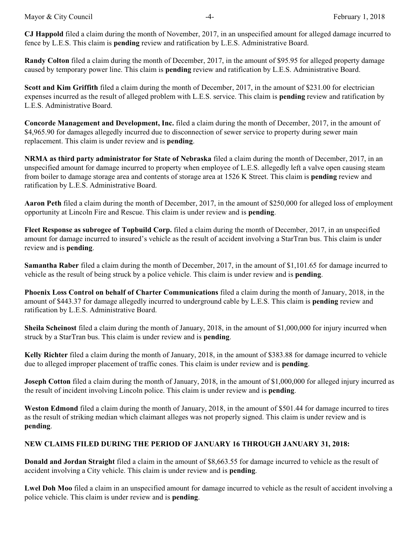**CJ Happold** filed a claim during the month of November, 2017, in an unspecified amount for alleged damage incurred to fence by L.E.S. This claim is **pending** review and ratification by L.E.S. Administrative Board.

**Randy Colton** filed a claim during the month of December, 2017, in the amount of \$95.95 for alleged property damage caused by temporary power line. This claim is **pending** review and ratification by L.E.S. Administrative Board.

**Scott and Kim Griffith** filed a claim during the month of December, 2017, in the amount of \$231.00 for electrician expenses incurred as the result of alleged problem with L.E.S. service. This claim is **pending** review and ratification by L.E.S. Administrative Board.

**Concorde Management and Development, Inc.** filed a claim during the month of December, 2017, in the amount of \$4,965.90 for damages allegedly incurred due to disconnection of sewer service to property during sewer main replacement. This claim is under review and is **pending**.

**NRMA as third party administrator for State of Nebraska** filed a claim during the month of December, 2017, in an unspecified amount for damage incurred to property when employee of L.E.S. allegedly left a valve open causing steam from boiler to damage storage area and contents of storage area at 1526 K Street. This claim is **pending** review and ratification by L.E.S. Administrative Board.

**Aaron Peth** filed a claim during the month of December, 2017, in the amount of \$250,000 for alleged loss of employment opportunity at Lincoln Fire and Rescue. This claim is under review and is **pending**.

**Fleet Response as subrogee of Topbuild Corp.** filed a claim during the month of December, 2017, in an unspecified amount for damage incurred to insured's vehicle as the result of accident involving a StarTran bus. This claim is under review and is **pending**.

**Samantha Raber** filed a claim during the month of December, 2017, in the amount of \$1,101.65 for damage incurred to vehicle as the result of being struck by a police vehicle. This claim is under review and is **pending**.

**Phoenix Loss Control on behalf of Charter Communications** filed a claim during the month of January, 2018, in the amount of \$443.37 for damage allegedly incurred to underground cable by L.E.S. This claim is **pending** review and ratification by L.E.S. Administrative Board.

**Sheila Scheinost** filed a claim during the month of January, 2018, in the amount of \$1,000,000 for injury incurred when struck by a StarTran bus. This claim is under review and is **pending**.

**Kelly Richter** filed a claim during the month of January, 2018, in the amount of \$383.88 for damage incurred to vehicle due to alleged improper placement of traffic cones. This claim is under review and is **pending**.

**Joseph Cotton** filed a claim during the month of January, 2018, in the amount of \$1,000,000 for alleged injury incurred as the result of incident involving Lincoln police. This claim is under review and is **pending**.

**Weston Edmond** filed a claim during the month of January, 2018, in the amount of \$501.44 for damage incurred to tires as the result of striking median which claimant alleges was not properly signed. This claim is under review and is **pending**.

# **NEW CLAIMS FILED DURING THE PERIOD OF JANUARY 16 THROUGH JANUARY 31, 2018:**

**Donald and Jordan Straight** filed a claim in the amount of \$8,663.55 for damage incurred to vehicle as the result of accident involving a City vehicle. This claim is under review and is **pending**.

**Lwel Doh Moo** filed a claim in an unspecified amount for damage incurred to vehicle as the result of accident involving a police vehicle. This claim is under review and is **pending**.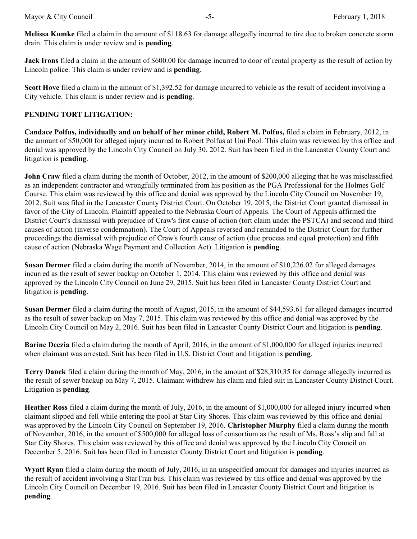**Melissa Kumke** filed a claim in the amount of \$118.63 for damage allegedly incurred to tire due to broken concrete storm drain. This claim is under review and is **pending**.

**Jack Irons** filed a claim in the amount of \$600.00 for damage incurred to door of rental property as the result of action by Lincoln police. This claim is under review and is **pending**.

**Scott Hove** filed a claim in the amount of \$1,392.52 for damage incurred to vehicle as the result of accident involving a City vehicle. This claim is under review and is **pending**.

## **PENDING TORT LITIGATION:**

**Candace Polfus, individually and on behalf of her minor child, Robert M. Polfus,** filed a claim in February, 2012, in the amount of \$50,000 for alleged injury incurred to Robert Polfus at Uni Pool. This claim was reviewed by this office and denial was approved by the Lincoln City Council on July 30, 2012. Suit has been filed in the Lancaster County Court and litigation is **pending**.

**John Craw** filed a claim during the month of October, 2012, in the amount of \$200,000 alleging that he was misclassified as an independent contractor and wrongfully terminated from his position as the PGA Professional for the Holmes Golf Course. This claim was reviewed by this office and denial was approved by the Lincoln City Council on November 19, 2012. Suit was filed in the Lancaster County District Court. On October 19, 2015, the District Court granted dismissal in favor of the City of Lincoln. Plaintiff appealed to the Nebraska Court of Appeals. The Court of Appeals affirmed the District Court's dismissal with prejudice of Craw's first cause of action (tort claim under the PSTCA) and second and third causes of action (inverse condemnation). The Court of Appeals reversed and remanded to the District Court for further proceedings the dismissal with prejudice of Craw's fourth cause of action (due process and equal protection) and fifth cause of action (Nebraska Wage Payment and Collection Act). Litigation is **pending**.

**Susan Dermer** filed a claim during the month of November, 2014, in the amount of \$10,226.02 for alleged damages incurred as the result of sewer backup on October 1, 2014. This claim was reviewed by this office and denial was approved by the Lincoln City Council on June 29, 2015. Suit has been filed in Lancaster County District Court and litigation is **pending**.

**Susan Dermer** filed a claim during the month of August, 2015, in the amount of \$44,593.61 for alleged damages incurred as the result of sewer backup on May 7, 2015. This claim was reviewed by this office and denial was approved by the Lincoln City Council on May 2, 2016. Suit has been filed in Lancaster County District Court and litigation is **pending**.

**Barine Deezia** filed a claim during the month of April, 2016, in the amount of \$1,000,000 for alleged injuries incurred when claimant was arrested. Suit has been filed in U.S. District Court and litigation is **pending**.

**Terry Danek** filed a claim during the month of May, 2016, in the amount of \$28,310.35 for damage allegedly incurred as the result of sewer backup on May 7, 2015. Claimant withdrew his claim and filed suit in Lancaster County District Court. Litigation is **pending**.

**Heather Ross** filed a claim during the month of July, 2016, in the amount of \$1,000,000 for alleged injury incurred when claimant slipped and fell while entering the pool at Star City Shores. This claim was reviewed by this office and denial was approved by the Lincoln City Council on September 19, 2016. **Christopher Murphy** filed a claim during the month of November, 2016, in the amount of \$500,000 for alleged loss of consortium as the result of Ms. Ross's slip and fall at Star City Shores. This claim was reviewed by this office and denial was approved by the Lincoln City Council on December 5, 2016. Suit has been filed in Lancaster County District Court and litigation is **pending**.

**Wyatt Ryan** filed a claim during the month of July, 2016, in an unspecified amount for damages and injuries incurred as the result of accident involving a StarTran bus. This claim was reviewed by this office and denial was approved by the Lincoln City Council on December 19, 2016. Suit has been filed in Lancaster County District Court and litigation is **pending**.